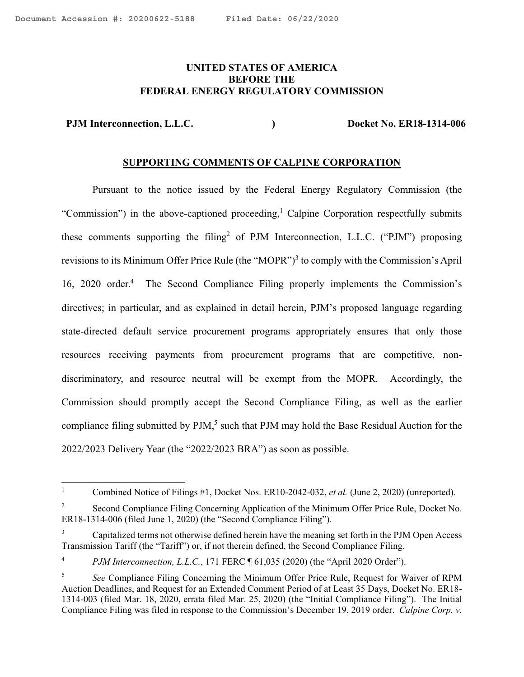## <span id="page-0-0"></span>**UNITED STATES OF AMERICA BEFORE THE FEDERAL ENERGY REGULATORY COMMISSION**

PJM Interconnection, L.L.C. <br>
and the property of the Docket No. ER18-1314-006

#### **SUPPORTING COMMENTS OF CALPINE CORPORATION**

Pursuant to the notice issued by the Federal Energy Regulatory Commission (the "Commission") in the above-captioned proceeding,<sup>1</sup> Calpine Corporation respectfully submits these comments supporting the filing<sup>2</sup> of PJM Interconnection, L.L.C. ("PJM") proposing revisions to its Minimum Offer Price Rule (the "MOPR")<sup>3</sup> to comply with the Commission's April 16, 2020 order.<sup>4</sup> The Second Compliance Filing properly implements the Commission's directives; in particular, and as explained in detail herein, PJM's proposed language regarding state-directed default service procurement programs appropriately ensures that only those resources receiving payments from procurement programs that are competitive, nondiscriminatory, and resource neutral will be exempt from the MOPR. Accordingly, the Commission should promptly accept the Second Compliance Filing, as well as the earlier compliance filing submitted by PJM,<sup>5</sup> such that PJM may hold the Base Residual Auction for the 2022/2023 Delivery Year (the "2022/2023 BRA") as soon as possible.

 $\frac{1}{1}$ Combined Notice of Filings #1, Docket Nos. ER10-2042-032, *et al.* (June 2, 2020) (unreported).

<sup>2</sup> Second Compliance Filing Concerning Application of the Minimum Offer Price Rule, Docket No. ER18-1314-006 (filed June 1, 2020) (the "Second Compliance Filing").

<sup>3</sup> Capitalized terms not otherwise defined herein have the meaning set forth in the PJM Open Access Transmission Tariff (the "Tariff") or, if not therein defined, the Second Compliance Filing.

<sup>4</sup> *PJM Interconnection, L.L.C.*, 171 FERC ¶ 61,035 (2020) (the "April 2020 Order").

<sup>5</sup> *See* Compliance Filing Concerning the Minimum Offer Price Rule, Request for Waiver of RPM Auction Deadlines, and Request for an Extended Comment Period of at Least 35 Days, Docket No. ER18- 1314-003 (filed Mar. 18, 2020, errata filed Mar. 25, 2020) (the "Initial Compliance Filing"). The Initial Compliance Filing was filed in response to the Commission's December 19, 2019 order. *Calpine Corp. v.*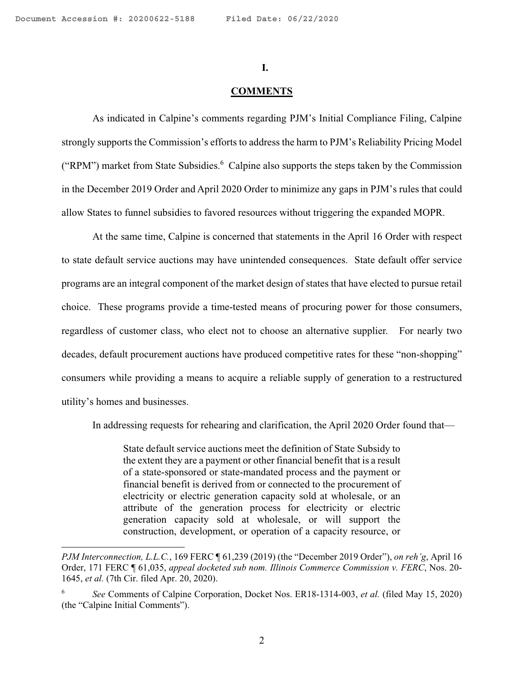$\overline{\phantom{a}}$ 

#### **I.**

#### **COMMENTS**

As indicated in Calpine's comments regarding PJM's Initial Compliance Filing, Calpine strongly supports the Commission's efforts to address the harm to PJM's Reliability Pricing Model ("RPM") market from State Subsidies.<sup>6</sup> Calpine also supports the steps taken by the Commission in the December 2019 Order and April 2020 Order to minimize any gaps in PJM's rules that could allow States to funnel subsidies to favored resources without triggering the expanded MOPR.

At the same time, Calpine is concerned that statements in the April 16 Order with respect to state default service auctions may have unintended consequences. State default offer service programs are an integral component of the market design of states that have elected to pursue retail choice. These programs provide a time-tested means of procuring power for those consumers, regardless of customer class, who elect not to choose an alternative supplier. For nearly two decades, default procurement auctions have produced competitive rates for these "non-shopping" consumers while providing a means to acquire a reliable supply of generation to a restructured utility's homes and businesses.

In addressing requests for rehearing and clarification, the April 2020 Order found that—

State default service auctions meet the definition of State Subsidy to the extent they are a payment or other financial benefit that is a result of a state-sponsored or state-mandated process and the payment or financial benefit is derived from or connected to the procurement of electricity or electric generation capacity sold at wholesale, or an attribute of the generation process for electricity or electric generation capacity sold at wholesale, or will support the construction, development, or operation of a capacity resource, or

*PJM Interconnection, L.L.C.*, 169 FERC ¶ 61,239 (2019) (the "December 2019 Order"), *on reh'g*, April 16 Order, 171 FERC ¶ 61,035, *appeal docketed sub nom. Illinois Commerce Commission v. FERC*, Nos. 20- 1645, *et al.* (7th Cir. filed Apr. 20, 2020).

<sup>6</sup> *See* Comments of Calpine Corporation, Docket Nos. ER18-1314-003, *et al.* (filed May 15, 2020) (the "Calpine Initial Comments").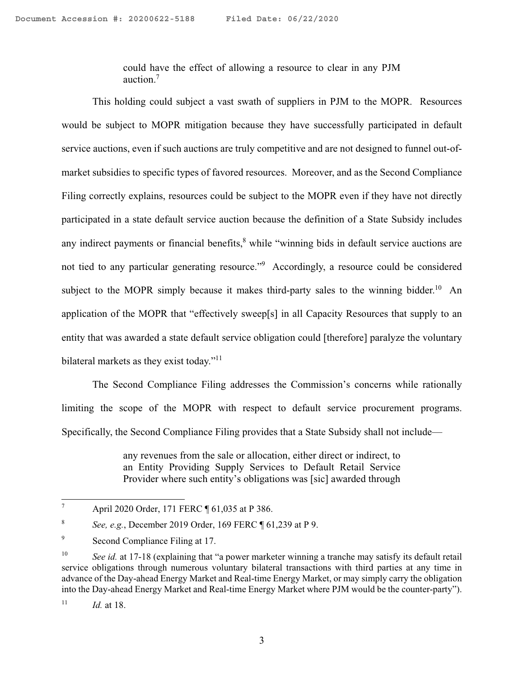could have the effect of allowing a resource to clear in any PJM auction.7

This holding could subject a vast swath of suppliers in PJM to the MOPR. Resources would be subject to MOPR mitigation because they have successfully participated in default service auctions, even if such auctions are truly competitive and are not designed to funnel out-ofmarket subsidies to specific types of favored resources. Moreover, and as the Second Compliance Filing correctly explains, resources could be subject to the MOPR even if they have not directly participated in a state default service auction because the definition of a State Subsidy includes any indirect payments or financial benefits,<sup>8</sup> while "winning bids in default service auctions are not tied to any particular generating resource."9 Accordingly, a resource could be considered subject to the MOPR simply because it makes third-party sales to the winning bidder.<sup>10</sup> An application of the MOPR that "effectively sweep[s] in all Capacity Resources that supply to an entity that was awarded a state default service obligation could [therefore] paralyze the voluntary bilateral markets as they exist today."<sup>11</sup>

The Second Compliance Filing addresses the Commission's concerns while rationally limiting the scope of the MOPR with respect to default service procurement programs. Specifically, the Second Compliance Filing provides that a State Subsidy shall not include—

> any revenues from the sale or allocation, either direct or indirect, to an Entity Providing Supply Services to Default Retail Service Provider where such entity's obligations was [sic] awarded through

 7 April 2020 Order, 171 FERC ¶ 61,035 at P 386.

<sup>8</sup> *See, e.g.*, December 2019 Order, 169 FERC ¶ 61,239 at P 9.

<sup>9</sup> Second Compliance Filing at 17.

<sup>&</sup>lt;sup>10</sup> *See id.* at 17-18 (explaining that "a power marketer winning a tranche may satisfy its default retail service obligations through numerous voluntary bilateral transactions with third parties at any time in advance of the Day-ahead Energy Market and Real-time Energy Market, or may simply carry the obligation into the Day-ahead Energy Market and Real-time Energy Market where PJM would be the counter-party").

 $11$  *Id.* at 18.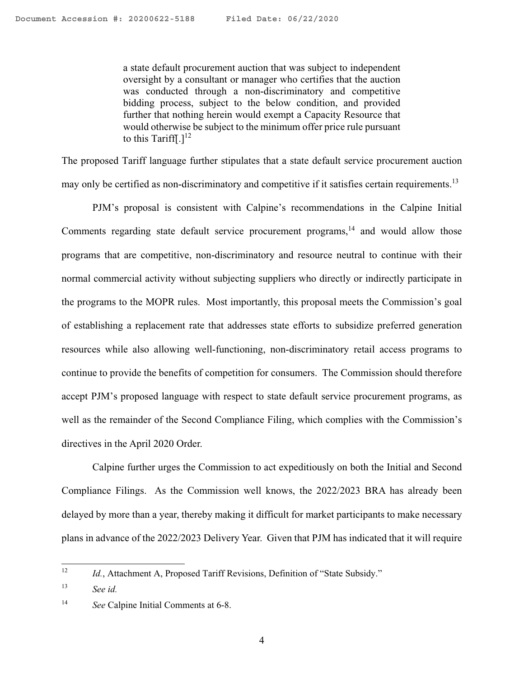a state default procurement auction that was subject to independent oversight by a consultant or manager who certifies that the auction was conducted through a non-discriminatory and competitive bidding process, subject to the below condition, and provided further that nothing herein would exempt a Capacity Resource that would otherwise be subject to the minimum offer price rule pursuant to this Tariff[.] $^{12}$ 

The proposed Tariff language further stipulates that a state default service procurement auction may only be certified as non-discriminatory and competitive if it satisfies certain requirements.<sup>13</sup>

PJM's proposal is consistent with Calpine's recommendations in the Calpine Initial Comments regarding state default service procurement programs, $14$  and would allow those programs that are competitive, non-discriminatory and resource neutral to continue with their normal commercial activity without subjecting suppliers who directly or indirectly participate in the programs to the MOPR rules. Most importantly, this proposal meets the Commission's goal of establishing a replacement rate that addresses state efforts to subsidize preferred generation resources while also allowing well-functioning, non-discriminatory retail access programs to continue to provide the benefits of competition for consumers. The Commission should therefore accept PJM's proposed language with respect to state default service procurement programs, as well as the remainder of the Second Compliance Filing, which complies with the Commission's directives in the April 2020 Order.

Calpine further urges the Commission to act expeditiously on both the Initial and Second Compliance Filings. As the Commission well knows, the 2022/2023 BRA has already been delayed by more than a year, thereby making it difficult for market participants to make necessary plans in advance of the 2022/2023 Delivery Year. Given that PJM has indicated that it will require

 $12$ Id., Attachment A, Proposed Tariff Revisions, Definition of "State Subsidy."

<sup>13</sup> *See id.*

<sup>14</sup> *See* Calpine Initial Comments at 6-8.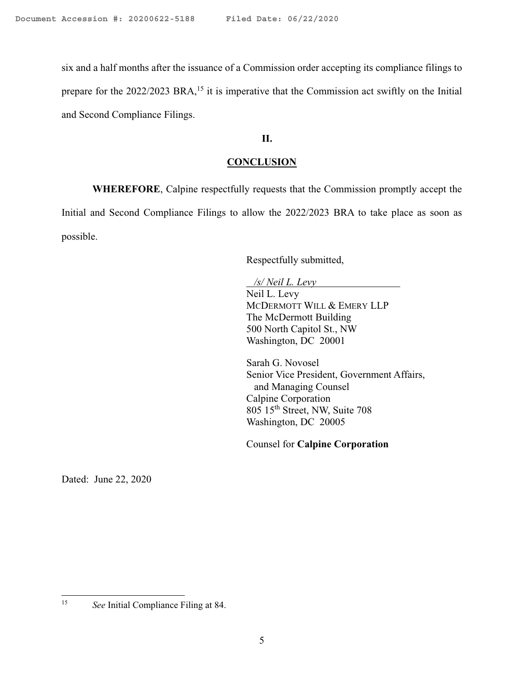six and a half months after the issuance of a Commission order accepting its compliance filings to prepare for the  $2022/2023$  BRA,<sup>15</sup> it is imperative that the Commission act swiftly on the Initial and Second Compliance Filings.

### **II.**

## **CONCLUSION**

**WHEREFORE**, Calpine respectfully requests that the Commission promptly accept the Initial and Second Compliance Filings to allow the 2022/2023 BRA to take place as soon as possible.

Respectfully submitted,

*/s/ Neil L. Levy* 

Neil L. Levy MCDERMOTT WILL & EMERY LLP The McDermott Building 500 North Capitol St., NW Washington, DC 20001

Sarah G. Novosel Senior Vice President, Government Affairs, and Managing Counsel Calpine Corporation 805 15th Street, NW, Suite 708 Washington, DC 20005

Counsel for **Calpine Corporation**

Dated: June 22, 2020

 $15\,$ 

<sup>15</sup> *See* Initial Compliance Filing at 84.